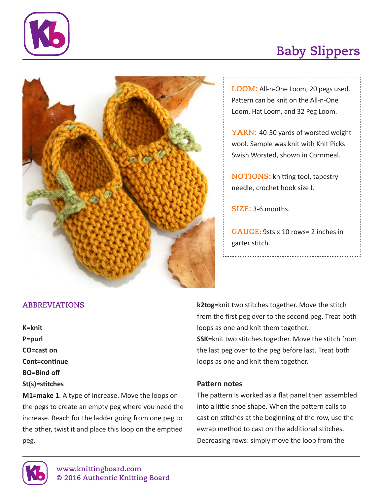

# **Baby Slippers**



**LOOM:** All-n-One Loom, 20 pegs used. Pattern can be knit on the All-n-One Loom, Hat Loom, and 32 Peg Loom.

YARN: 40-50 yards of worsted weight wool. Sample was knit with Knit Picks Swish Worsted, shown in Cornmeal.

**NOTIONS:** knitting tool, tapestry needle, crochet hook size I.

**SIZE:** 3-6 months.

**GAUGE**: 9sts x 10 rows= 2 inches in garter stitch.

### **ABBREVIATIONS**

**K=knit P=purl CO=cast on Cont=continue BO=Bind off St(s)=stitches**

**M1=make 1**. A type of increase. Move the loops on the pegs to create an empty peg where you need the increase. Reach for the ladder going from one peg to the other, twist it and place this loop on the emptied peg.

**k2tog=**knit two stitches together. Move the stitch from the first peg over to the second peg. Treat both loops as one and knit them together. **SSK=**knit two stitches together. Move the stitch from the last peg over to the peg before last. Treat both loops as one and knit them together.

#### **Pattern notes**

The pattern is worked as a flat panel then assembled into a little shoe shape. When the pattern calls to cast on stitches at the beginning of the row, use the ewrap method to cast on the additional stitches. Decreasing rows: simply move the loop from the

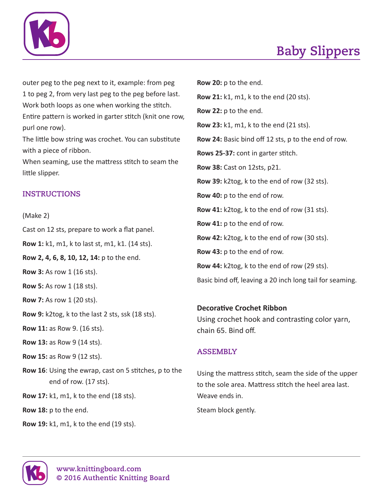

outer peg to the peg next to it, example: from peg 1 to peg 2, from very last peg to the peg before last. Work both loops as one when working the stitch. Entire pattern is worked in garter stitch (knit one row, purl one row).

The little bow string was crochet. You can substitute with a piece of ribbon.

When seaming, use the mattress stitch to seam the little slipper.

# **INSTRUCTIONS**

(Make 2)

Cast on 12 sts, prepare to work a flat panel.

**Row 1:** k1, m1, k to last st, m1, k1. (14 sts).

**Row 2, 4, 6, 8, 10, 12, 14:** p to the end.

**Row 3:** As row 1 (16 sts).

**Row 5:** As row 1 (18 sts).

**Row 7:** As row 1 (20 sts).

**Row 9:** k2tog, k to the last 2 sts, ssk (18 sts).

**Row 11:** as Row 9. (16 sts).

**Row 13:** as Row 9 (14 sts).

**Row 15:** as Row 9 (12 sts).

**Row 16**: Using the ewrap, cast on 5 stitches, p to the end of row. (17 sts).

**Row 17:** k1, m1, k to the end (18 sts).

**Row 18:** p to the end.

**Row 19:** k1, m1, k to the end (19 sts).

**Row 21:** k1, m1, k to the end (20 sts). **Row 22:** p to the end. **Row 23:** k1, m1, k to the end (21 sts). **Row 24:** Basic bind off 12 sts, p to the end of row. **Rows 25-37:** cont in garter stitch. **Row 38:** Cast on 12sts, p21. **Row 39:** k2tog, k to the end of row (32 sts). **Row 40:** p to the end of row. **Row 41:** k2tog, k to the end of row (31 sts). **Row 41:** p to the end of row. **Row 42:** k2tog, k to the end of row (30 sts). **Row 43:** p to the end of row. **Row 44:** k2tog, k to the end of row (29 sts). Basic bind off, leaving a 20 inch long tail for seaming.

### **Decorative Crochet Ribbon**

**Row 20:** p to the end.

Using crochet hook and contrasting color yarn, chain 65. Bind off.

# **ASSEMBLY**

Using the mattress stitch, seam the side of the upper to the sole area. Mattress stitch the heel area last. Weave ends in.

Steam block gently.